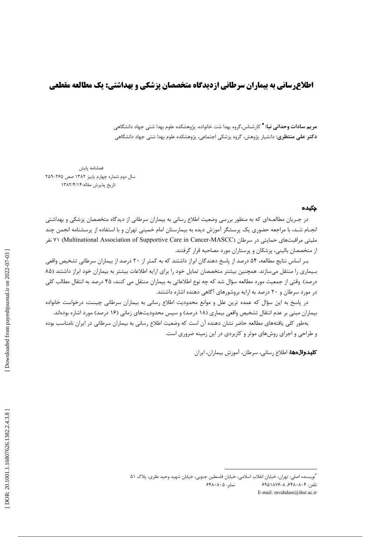# **اطلاع رسانی به بیماران سرطانی ازدیدگاه متخصصان پزشکی و بهداشتی: یک مطالعه مقطعی**

**مریم سادات وحدانی نیا: \*** کارشناس،گروه بهدا شت خانواده، پژوهشکده علوم بهدا شتی جهاد دانشگاهی **دکتر علی منتظری:** دانشیار پژوهش، گروه پزشکی اجتماعی، پژوهشکده علوم بهدا شتی جهاد دانشگاهی

فصلنامه يايش سال دوم شماره چهارم پاییز ۱۳۸۲ صص ۲۶۵-۲۵۹ تاريخ پذيرش مقاله:١٣٨٢/٤/١٣

#### چکیده

در جـریان مطالعـهای که به منظور بررسی وضعیت اطلاع رسانی به بیماران سرطانی از دیدگاه متخصصان پزشکی و بهداشتی انجـام شـد، با مراجعه حضوري يک پرسشگر آموزش ديده به بيمارستان امام خميني تهران و با استفاده از پرسشنامه انجمن چند مليتي مراقبتهاي حمايتي در سرطان (Multinational Association of Supportive Care in Cancer-MASCC) ٧١ نفر از متخصصان باليني، پزشكان و پرستاران مورد مصاحبه قرار گرفتند.

بـر اساس نتايج مطالعه، ۵۴ درصد از پاسخ دهندگان ابراز داشتند كه به كمتر از ۲۰ درصد از بيماران سرطاني تشخيص واقعي بـيماري را منتقل ميسازند. همچنين بيشتر متخصصان تمايل خود را براي ارايه اطلاعات بيشتر به بيماران خود ابراز داشتند (٨۵ درصد). وقتی از جمعیت مورد مطالعه سؤال شد که چه نوع اطلاعاتی به بیماران منتقل می کنند، ۴۵ درصد به انتقال مطالب کلی در مورد سرطان و ۲۰ درصد به ارایه بروشورهای آگاهی دهنده اشاره داشتند.

در پاسخ به این سؤال که عمده ترین علل و موانع محدودیت اطلاع رسانی به بیماران سرطانی چیست، درخواست خانواده بیماران مبنی بر عدم انتقال تشخیص واقعی بیماری (۱۸ درصد) و سپس محدودیتهای زمانی (۱۶ درصد) مورد اشاره بودهاند. بهطور کلی یافتههای مطالعه حاضر نشان دهنده آن است که وضعیت اطلاع رسانی به بیماران سرطانی در ایران نامناسب بوده

و طراحی و اجرای روشهای موثر و کاربردی در این زمینه ضروری است.

كليدواژهها: اطلاع رساني، سرطان، آموزش بيماران، ايران

<sup>&</sup>quot;نويسنده اصلي: تهران، خيابان انقلاب اسلامي، خيابان فلسطين جنوبي، خيابان شهيد وحيد نظري، پلاک ٥١ نمایر: ۶۴۸۰۸۰۵ تلفن: ۶۹۵۱۸۷۶–۸۰۶۴۸۰۸۰۴ E-mail: mvahdani@ihsr.ac.ir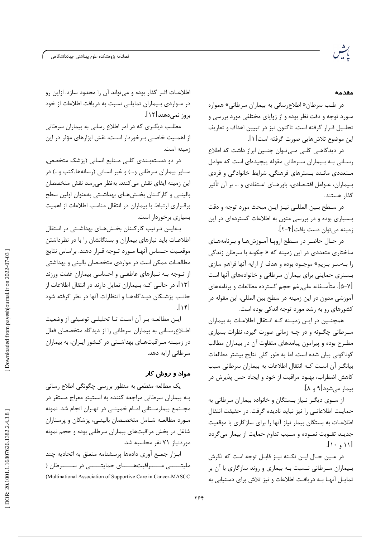#### مقدمه

در طب سرطان« اطلاع رسانی به بیماران سرطانی» همواره مـورد توجه و دقت نظر بوده و از زوایای مختلفی مورد بررسی و تحلـيل قـرار گرفته است. تاكنون نيز در تبيين اهداف و تعاريف اين موضوع تلاش@ايي صورت گرفته است[۱].

در دیدگاهـی کلـی مـی تـوان چنـین ابراز داشت که اطلاع رسانی به بیماران سرطانی مقوله پیچیدهای است که عوامل مـتعددی مانـند بـسترهای فرهنگی, شرایط خانوادگی و فردی بـیماران، عـوامل اقتـصادی، باورهـای اعـتقادی و … بر آن تأثیر گذار هستند.

در سطح بين المللي نيـز ايـن مبحث مورد توجه و دقت بسیاری بوده و در بررسی متون به اطلاعات گستردهای در این زمينه مي توان دست يافت[٢-٢].

در حـال حاضـر در سـطح ارويـا آمـوزشهـا و بـرنامههـای ساختاری متعددی در این زمینه که « چگونه با سرطان زندگی را به سر بریم» موجـود بوده و هدف از ارایه آنها فراهم سازی بـستری حمایتی برای بیماران سرطانی و خانوادههای آنها است [۵-۷]. متأسـفانه علىرغم حجم گسترده مطالعات و برنامههاى آموزشي مدون در اين زمينه در سطح بين المللي، اين مقوله در کشورهای رو به رشد مورد توجه اندکی بوده است.

همچنـین در ایـن زمیـنه کـه انـتقال اطلاعـات به بیماران سرطانی چگـونه و در چـه زمانی صورت گیرد، نظرات بسیاری مطـرح بوده و پیرامون پیامدهای متفاوت آن در بیماران مطالب گوناگونی بیان شده است. اما به طور کلی نتایج بیشتر مطالعات بیانگر آن است کـه انتقال اطلاعات به بیماران سرطانی سبب كاهش اضطراب، بهبود مراقبت از خود و ايجاد حس پذيرش در بیمار مے شود [۹ و ۸].

از سـوى ديگـر نـياز بـستگان و خانواده بيماران سرطانى به حمایت اطلاعاتـی را نیز نباید نادیده گرفت. در حقیقت انتقال اطلاعـات به بستگان بیمار نیاز آنها را برای سازگاری با موقعیت جديـد تقـويت نمـوده و سـبب تداوم حمايت از بيمار مى گردد  $[1 \cdot 1]$ 

در عـين حـال ايـن نكــته نيـز قابـل توجه است كه نگرش بـیماران سـرطانی نـسبت بـه بیماری و روند سازگاری با آن بر تمایـل آنهـا بـه دریافـت اطلاعات و نیز تلاش برای دستیابی به

اطلاعـات اثـر گذار بوده و می¤واند آن را محدود سازد. ازاین رو در مـواردي بـيماران تمايلـي نسبت به دريافت اطلاعات از خود بروز نمے دھند[۱۲].

مطلب دیگری که در امر اطلاع رسانی به بیماران سرطانی از اهمـیت خاصـی بـرخوردار اسـت، نقش ابزارهای مؤثر در این زمينه است.

در دو دسـتهبـندی کلـی مـنابع انسانی (پزشک متخصص, سـاير بيماران سرطاني و...) و غير انساني (رسانهها,كتب و...) در این زمینه ایفای نقش میکنند. بهنظر می رسد نقش متخصصان بالینـی و کارکـنان بخـشهـای بهداشـتی بهعنوان اولین سطح برقـراري ارتباط با بيماران در انتقال مناسب اطلاعات از اهميت بسیاری برخوردار است.

بهایین ترتیب کارکنان بخشهای بهداشتی در انتقال اطلاعـات بايد نيازهاى بيماران و بستگانشان را با در نظرداشتن موقعـيت حـساس آنهـا مـورد تـوجه قـرار دهند. براساس نتايج مطالعـات ممكن است در مواردى متخصصان بالينى و بهداشتى از تـوجه بـه نـيازهاى عاطفـى و احساسى بيماران غفلت ورزند [۱۳]، در حالـی کـه بـیماران تمایل دارند در انتقال اطلاعات از جانب پزشكان ديـدگاههـا و انتظارات آنها در نظر گرفته شود  $\lceil \mathbf{y} \rceil$ 

ايـن مطالعـه بـر آن اسـت تـا تحليلـي توصيفي از وضعيت اطلاعرسانی به بیماران سرطانی را از دیدگاه متخصصان فعال در زمیـنه مـراقبتهـای بهداشـتی در کـشور ایـران، به بیماران سرطانی ارایه دهد.

# مواد و روش کا*ر*

یک مطالعه مقطعی به منظور بررسی چگونگی اطلاع رسانی بـه بيماران سرطاني مراجعه كننده به انستيتو معراج مستقر در مجــتمع بيمارســتاني امــام خمينــي در تهـران انجام شد. نمونه مـورد مطالعـه شـامل متخصـصان بالينـي، پزشكان و پرستاران شاغل در بخش مراقبتهای بیماران سرطانی بوده و حجم نمونه موردنياز ٧١ نفر محاسبه شد.

ابزار جمع آوری دادهها پرسشنامه متعلق به اتحادیه چند مليتـــــــى مــــــراقبتهـــــــــاى حمايتـــــــى در ســـــــرطان ( (Multinational Association of Supportive Care in Cancer-MASCC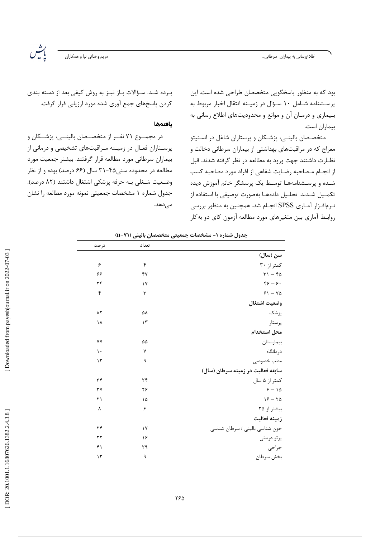مريم وخداني نيا و همكاران

يٽس<br>پٺيس

بود که به منظور پاسخگویی متخصصان طراحی شده است. این پرسـشنامه شـامل ١٠ سـؤال در زميـنه انتقال اخبار مربوط به بیماری و درمـان آن و موانع و محدودیتهای اطلاع رسانی به بيماران است.

متخصصان بالینـی، پزشـکان و پرستاران شاغل در انستیتو معراج که در مراقبتهای بهداشتی از بیماران سرطانی دخالت و نظـارت داشتند جهت ورود به مطالعه در نظر گرفته شدند. قبل از انجـام مـصاحبه رضـايت شفاهي از افراد مورد مصاحبه كسب شـده و پرسـشنامههـا توسـط یک پرسشگر خانم آموزش دیده تكميل شـدند. تحلـيل دادههـا بهصورت توصيفي با استفاده از نرمافزار آمـاری SPSS انجـام شد. همچنین به منظور بررسی روابط آماری بین متغیرهای مورد مطالعه آزمون کای دو بهکار

بـرده شـد. سـؤالات بـاز نيـز به روش كيفي بعد از دسته بندي كردن پاسخهاي جمع آوري شده مورد ارزيابي قرار گرفت.

#### يافتهها

در مجمــوع ۷۱ نفــر از متخصــصان بالينـــي، پزشــکان و پرسـتاران فعـال در زميـنه مـراقبتهاى تشخيصى و درمانى از بیماران سرطانی مورد مطالعه قرار گرفتند. بیشتر جمعیت مورد مطالعه در محدوده سنی۴۵-۳۱ سال (۶۶ درصد) بوده و از نظر وضعيت شغلي بـه حرفه پزشكي اشتغال داشتند (٨٢ درصد). جدول شماره ١ مشخصات جمعيتي نمونه مورد مطالعه را نشان مىدھد.

| ◢<br>ັ້                           | . پ      |                    |
|-----------------------------------|----------|--------------------|
|                                   | تعداد    | در صد              |
| سن (سال)                          |          |                    |
| کمتر از ۳۰                        | ۴        | ۶                  |
| $\Gamma$ ) – $f \Delta$           | ۴٧       | ۶۶                 |
| $99 - 9.$                         | $\gamma$ | ۲۴                 |
| $51 - Y\Delta$                    | ٣        | ۴                  |
| وضعيت اشتغال                      |          |                    |
| پزشک                              | ۵۸       | $\Lambda \Upsilon$ |
| پرستار                            | $\gamma$ | ۱۸                 |
| محل استخدام                       |          |                    |
| بيمارستان                         | ۵۵       | ٧٧                 |
| درمانگاه                          | ٧        | $\mathcal{L}$      |
| مطب خصوصى                         | ٩        | $\gamma$           |
| سابقه فعالیت در زمینه سرطان (سال) |          |                    |
| کمتر از ۵ سال                     | ٢۴       | ٣۴                 |
| $5 - 10$                          | ۲۶       | ٣٧                 |
| $18 - 70$                         | ۱۵       | ۲۱                 |
| بیشتر از ۲۵                       | ۶        | γ                  |
| زمينه فعاليت                      |          |                    |
| خون شناسی بالینی / سرطان شناسی    | $\gamma$ | ٢۴                 |
| پرتو درمانی                       | ۱۶       | $\tau\tau$         |
| جراحى                             | ۲۹       | ۴۱                 |
| بخش سرطان                         | ٩        | $\mathcal{N}$      |

حدول شماره (- مشخصات حمعیتی متخصصان بالینی ((n=Y)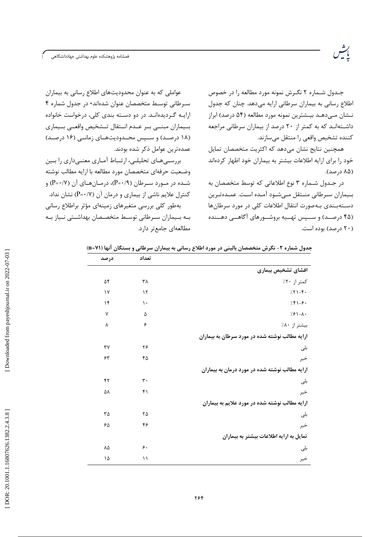جـدول شـماره ۲ نگـرش نمونه مورد مطالعه را در خصوص اطلاع رسانی به بیماران سرطانی ارایه میدهد. چنان که جدول نـشان مـی دهـد بیـشترین نمونه مورد مطالعه (۵۴ درصد) ابراز داشتهاند که به کمتر از ۲۰ درصد از بیماران سرطانی مراجعه كننده تشخيص واقعى را منتقل مىسازند.

رشہ<br>پیشہ

همچنین نتایج نشان میدهد که اکثریت متخصصان تمایل خود را برای ارایه اطلاعات بیشتر به بیماران خود اظهار کردهاند (۸۵ درصد).

در جـدول شـماره ٣ نوع اطلاعاتي كه توسط متخصصان به بـيماران سـرطاني منـتقل مـىشـود آمـده اسـت. عمـدهتـرين دسـتەبـندى بـەصورت انتقال اطلاعات كلى در مورد سرطان ها (۴۵ درصـد) و ســپس تهــیه بروشــورهای آگاهــی دهــنده (۲۰ درصد) بوده است.

عواملی که به عنوان محدودیتهای اطلاع رسانی به بیماران سرطانی توسط متخصصان عنوان شدهاند ۰ در جدول شماره ۴ ارایـه گـردیدهانـد. در دو دسـته بندی کلی، درخواست خانواده بسيماران مبنسي بسر عسدم انستقال تسشخيص واقعسى بسيماري (۱۸ درصد) و سـپس محـدودیتهـای زمانـی (۱۶ درصـد) عمدەترين عوامل ذكر شده بودند.

بررسے های تحلیلے، ارتـباط آمـاری معنـیداری را بـین وضـعيت حرفهاي متخصصان مورد مطالعه با ارايه مطالب نوشته شــده در مــورد ســرطان (۹/۰+P)، درمــانهــای آن (۷/۰+P) و کنترل علایم ناشی از بیماری و درمان آن (P=•/۷) نشان نداد. بهطور کلی بررسی متغیرهای زمینهای مؤثر براطلاع رسانی بـه بـيماران سـرطاني توسـط متخصـصان بهداشـتي نـياز بـه مطالعهای جامعتر دارد.

جدول شماره ۲- نگرش متخصصان بالینی در مورد اطلاع رسانی به بیماران سرطانی و بستگان آنها (n=۷۱)

|                                                | تعداد          | در صد                       |
|------------------------------------------------|----------------|-----------------------------|
| افشاي تشخيص بيمارى                             |                |                             |
| کمتر از ۲۰٪                                    | ٣٨             | ۵۴                          |
| $751-F$                                        | $\gamma$       | $\gamma$                    |
| $751 - 9$                                      | ١.             | $\mathcal{N}$               |
| $7.81 - A$                                     | ۵              | $\mathsf{V}$                |
| بيشتر از ٨٠٪                                   | ۶              | ٨                           |
| ارایه مطالب نوشته شده در مورد سرطان به بیماران |                |                             |
| بلى                                            | ۲۶             | $\mathsf{r}\mathsf{v}$      |
| خير                                            | ۴۵             | ۶۳                          |
| ارایه مطالب نوشته شده در مورد درمان به بیماران |                |                             |
| بلى                                            | $\mathbf{r}$ . | ۴٢                          |
| خير                                            | f              | ۵٨                          |
| ارایه مطالب نوشته شده در مورد علایم به بیماران |                |                             |
| بلى                                            | ۲۵             | $\mathsf{r}\mathsf{\Delta}$ |
| خير                                            | ۴۶             | ۶۵                          |
| تمایل به ارایه اطلاعات بیشتر به بیماران        |                |                             |
| بلى                                            | ۶.             | $\Lambda \Delta$            |
| خير                                            | ۱۱             | ۱۵                          |
|                                                |                |                             |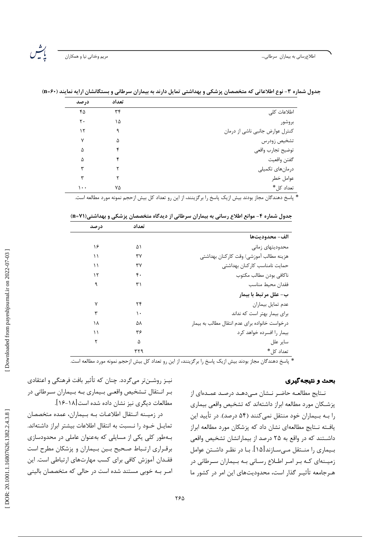رشہ<br>بیات

|                                 | تعداد | درصد |
|---------------------------------|-------|------|
| اطلاعات كلى                     | ٣۴    | ۴۵   |
| بروشور                          | ۱۵    | ٢٠   |
| کنترل عوارض جانبی ناشی از درمان | ٩     | ۱۲   |
| تشخيص زودرس                     | ۵     | ٧    |
| توضيح تجارب واقعى               |       | ۵    |
| كفتن واقعيت                     |       | ۵    |
| درمانهای تکمیلی                 |       | س    |
| عوامل خطر                       |       |      |
| تعداد كل*                       | ٧۵    | ۰.۱  |

جدول شماره ۳- نوع اطلاعاتی که متخصصان پزشکی و بهداشتی تمایل دارند به بیماران سرطانی و بستگانشان ارایه نمایند (+۶= n)

\* پاسخ دهندگان مجاز بودند بیش ازیک پاسخ را برگزینند، از این رو تعداد کل بیش ازحجم نمونه مورد مطالعه است.

| جدول شماره ۴ – موانع اطلاع رسانی به بیماران سرطانی از دیدگاه متخصصان پزشکی و بهداشتی(۷۱=۱۱) |  |
|---------------------------------------------------------------------------------------------|--|
|                                                                                             |  |

|                                                | تعداد | در صد |
|------------------------------------------------|-------|-------|
| الف- محدوديتها                                 |       |       |
| محدوديتهاى زمانى                               | ۵۱    | ۱۶    |
| هزينه مطالب آموزشي/ وقت كاركنان بهداشتي        | ٣٧    | ۱۱    |
| حمايت نامناسب كاركنان بهداشتى                  | ٣٧    | ۱۱    |
| ناكافى بودن مطالب مكتوب                        | ۴٠    | ۱۲    |
| فقدان محيط مناسب                               | ۳۱    | ٩     |
| ب- علل مرتبط با بیمار                          |       |       |
| عدم تمايل بيماران                              | ۲۴    | ٧     |
| برای بیمار بهتر است که نداند                   | ۱۰    | ٣     |
| درخواست خانواده براى عدم انتقال مطالب به بيمار | ۵۸    | ۱۸    |
| بیمار را افسرده خواهد کرد                      | ۳۶    | ۱۱    |
| ساير علل                                       | Δ     | ۲     |
| تعداد کل*                                      | ۳۲۹   |       |

\* پاسخ دهندگان مجاز بودند بیش ازیک پاسخ را برگزینند، از این رو تعداد کل بیش ازحجم نمونه مورد مطالعه است.

### بحث و نتیجه گیری

نـتايج مطالعـه حاضـر نـشان مـىدهـد درصـد عمـدهاى از پزشكان مورد مطالعه ابراز داشتهاند كه تشخيص واقعى بيماري را بـه بـيماران خود منتقل نمي كنند (۵۴ درصد). در تأييد اين یافته نـتایج مطالعهای نشان داد که پزشکان مورد مطالعه ابراز داشـتند که در واقع به ۲۵ درصد از بیمارانشان تشخیص واقعی بـیماری را منــتقل مـی٬سـازند[۱۵]. بـا در نظـر داشــتن عوامل زمیـنهای کـه بـر امـر اطـلاع رسـانی بـه بـیماران سـرطانی در هـ, جامعه تأثيـر گذار است، محدوديتهاى اين امر در كشور ما

نیـز روشــنتر می5ردد. چنان که تأثیر بافت فرهنگی و اعتقادی بـر انـتقال تـشخيص واقعـي بـيماري بـه بـيماران سـرطاني در مطالعات ديگرى نيز نشان داده شده است[١٨-١۶].

در زمیـنه انـتقال اطلاعـات بـه بـیماران، عمده متخصصان تمایـل خــود را نــسبت به انتقال اطلاعات بیشتر ابراز داشتهاند. بهطور کلی یکی از مسایلی که بهعنوان عاملی در محدودسازی برقراری ارتباط صحیح بین بیماران و پزشکان مطرح است فقــدان آموزش كافي براي كسب مهارتـهاي ارتباطي است. اين امـر بـه خوبى مستند شده است در حالى كه متخصصان بالينى

Downloaded from payeshjournal.ir on 2022-07-03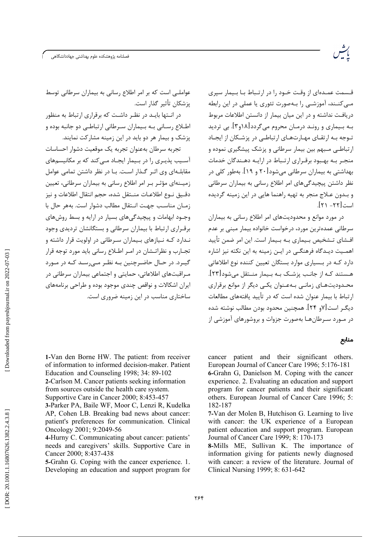فصلنامه پژوهشكده علوم بهداشتى جهاددانشگاهى

قـسمت عمـدهای از وقـت خـود را در ارتـباط بـا بـیمار سیری مے کنــند، آموزشــی را بـهصورت تئوری یا عملی در این رابطه دریافت نداشته و در این میان بیمار از دانستن اطلاعات مربوط بـه بـیماری و رونـد درمـان محروم می5ردد[۱۸و۳]. بی تردید تـوجه بـه ارتقـای مهـارتهـای ارتباطـی در پزشـکان از ابحـاد ارتباطی مـبهم بین بیمار سرطانی و پزشک پیشگیری نموده و منجـر بـه بهـبود برقـراري ارتـباط در ارايـه دهـندگان خدمات بهداشتی به بیماران سرطانی می شود[۲۰ و ۱۹]. بهطور کلی در نظر داشتن پیچیدگی های امر اطلاع رسانی به بیماران سرطانی و بـدون عـلاج منجر به تهيه راهنما هايي در اين زمينه گرديده است[۲۲- ۲۱].

در مورد موانع و محدودیتهای امر اطلاع رسانی به بیماران سرطانی عمده ترین مورد، درخواست خانواده بیمار مبنی بر عدم افـشاي تـشخيص بـيماري بـه بـيمار است. اين امر ضمن تأييد اهمـیت دیـدگاه فرهنگـی در ایـن زمینه به این نکته نیز اشاره دارد کــه در بــسیاری موارد بستگان تعیین کننده نوع اطلاعاتی هـستند كـه از جانـب پزشـك بـه بـيمار منـتقل مىشود[٢٣]. محـدودیتهـای زمانـی بـهعـنوان یکـی دیگر از موانع برقراری ارتباط با بیمار عنوان شده است که در تأیید یافتههای مطالعات دیگـر است[۷و ۲۴]. همچنین محدود بودن مطالب نوشته شده در مـورد سـرطانهـا بهصورت جزوات و بروشورهای آموزشی از

# عواملے است که بر امر اطلاع رسانی به بیماران سرطانی توسط يزشكان تأثير گذار است.

در انــتها بايــد در نظــر داشــت كه برقراري ارتباط به منظور اطـلاع رسـاني بـه بـيماران سـرطاني ارتباطـي دو جانبه بوده و بزشک و بیمار هر دو باید در این زمینه مشارکت نمایند.

تجربه سرطان بهعنوان تجربه يک موقعيت دشوار احساسات آسـيب پذيـري را در بـيمار ايجـاد مـي کند که بر مکانيسمهاي مقابلـهای وی اثـر گـذار اسـت. بـا در نظر داشتن تمامی عوامل زمیــنهای مؤثـر بـر امر اطلاع رسانی به بیماران سرطانی، تعیین دقـيق نــوع اطلاعــات منــتقل شده، حجم انتقال اطلاعات و نيز زمـان مناسـب جهـت انـتقال مطالب دشوار است. بههر حال با وجـود ابهامات و پیچیدگیهای بسیار در ارایه و بسط روشهای برقراري ارتباط با بيماران سرطاني و بستگانشان ترديدي وجود نـدارد کـه نـیازهای بـیماران سـرطانی در اولویت قرار داشته و تجــارب و نظراتــشان در امــر اطــلاع رساني بايد مورد توجه قرار گیبرد. در حبال حاضرچنین بیه نظیر ملی رسید کیه در میورد مـراقبتهای اطلاعاتی، حمایتی و اجتماعی بیماران سرطانی در ايران اشكالات و نواقص چندي موجود بوده و طراحي برنامههاي ساختاری مناسب در این زمینه ضروری است.

## منابع

1-Van den Borne HW. The patient: from receiver of information to informed decision-maker. Patient Education and Counseling 1998; 34: 89-102 2-Carlson M. Cancer patients seeking information from sources outside the health care system. Supportive Care in Cancer 2000: 8:453-457 3-Parker PA, Baile WF, Moor C, Lenzi R, Kudelka

AP, Cohen LB. Breaking bad news about cancer: patient's preferences for communication. Clinical Oncology 2001; 9:2049-56

4-Hurny C. Communicating about cancer: patients' needs and caregivers' skills. Supportive Care in Cancer 2000; 8:437-438

5-Grahn G. Coping with the cancer experience. 1. Developing an education and support program for experience. 2. Evaluating an education and support program for cancer patients and their significant others. European Journal of Cancer Care 1996; 5: 182-187 7-Van der Molen B, Hutchison G. Learning to live with cancer: the UK experience of a European

cancer patient and their significant others.

European Journal of Cancer Care 1996; 5:176-181

6-Grahn G, Danielson M. Coping with the cancer

patient education and support program. European Journal of Cancer Care 1999; 8: 170-173

8-Mills ME, Sullivan K. The importance of information giving for patients newly diagnosed with cancer: a review of the literature. Journal of Clinical Nursing 1999; 8: 631-642